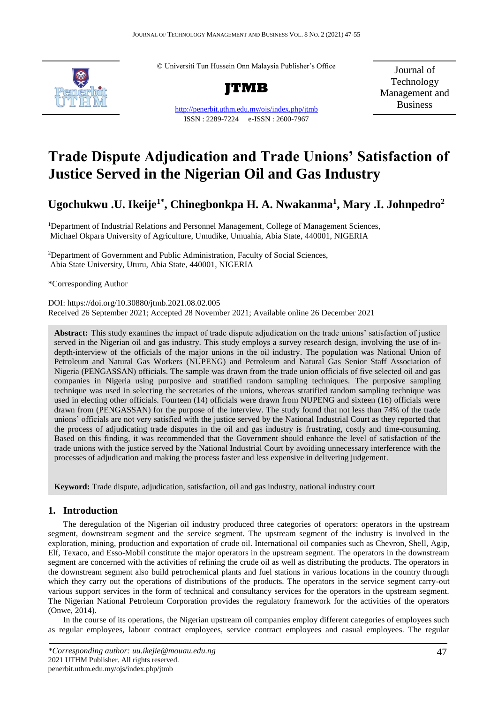© Universiti Tun Hussein Onn Malaysia Publisher's Office



<http://penerbit.uthm.edu.my/ojs/index.php/jtmb> ISSN : 2289-7224 e-ISSN : 2600-7967

Journal of Technology Management and Business

# **Trade Dispute Adjudication and Trade Unions' Satisfaction of Justice Served in the Nigerian Oil and Gas Industry**

# **Ugochukwu .U. Ikeije1\*, Chinegbonkpa H. A. Nwakanma<sup>1</sup> , Mary .I. Johnpedro<sup>2</sup>**

<sup>1</sup>Department of Industrial Relations and Personnel Management, College of Management Sciences, Michael Okpara University of Agriculture, Umudike, Umuahia, Abia State, 440001, NIGERIA

<sup>2</sup>Department of Government and Public Administration, Faculty of Social Sciences, Abia State University, Uturu, Abia State, 440001, NIGERIA

\*Corresponding Author

DOI: https://doi.org/10.30880/jtmb.2021.08.02.005 Received 26 September 2021; Accepted 28 November 2021; Available online 26 December 2021

**Abstract:** This study examines the impact of trade dispute adjudication on the trade unions' satisfaction of justice served in the Nigerian oil and gas industry. This study employs a survey research design, involving the use of indepth-interview of the officials of the major unions in the oil industry. The population was National Union of Petroleum and Natural Gas Workers (NUPENG) and Petroleum and Natural Gas Senior Staff Association of Nigeria (PENGASSAN) officials. The sample was drawn from the trade union officials of five selected oil and gas companies in Nigeria using purposive and stratified random sampling techniques. The purposive sampling technique was used in selecting the secretaries of the unions, whereas stratified random sampling technique was used in electing other officials. Fourteen (14) officials were drawn from NUPENG and sixteen (16) officials were drawn from (PENGASSAN) for the purpose of the interview. The study found that not less than 74% of the trade unions' officials are not very satisfied with the justice served by the National Industrial Court as they reported that the process of adjudicating trade disputes in the oil and gas industry is frustrating, costly and time-consuming. Based on this finding, it was recommended that the Government should enhance the level of satisfaction of the trade unions with the justice served by the National Industrial Court by avoiding unnecessary interference with the processes of adjudication and making the process faster and less expensive in delivering judgement.

**Keyword:** Trade dispute, adjudication, satisfaction, oil and gas industry, national industry court

# **1. Introduction**

The deregulation of the Nigerian oil industry produced three categories of operators: operators in the upstream segment, downstream segment and the service segment. The upstream segment of the industry is involved in the exploration, mining, production and exportation of crude oil. International oil companies such as Chevron, Shell, Agip, Elf, Texaco, and Esso-Mobil constitute the major operators in the upstream segment. The operators in the downstream segment are concerned with the activities of refining the crude oil as well as distributing the products. The operators in the downstream segment also build petrochemical plants and fuel stations in various locations in the country through which they carry out the operations of distributions of the products. The operators in the service segment carry-out various support services in the form of technical and consultancy services for the operators in the upstream segment. The Nigerian National Petroleum Corporation provides the regulatory framework for the activities of the operators (Onwe, 2014).

In the course of its operations, the Nigerian upstream oil companies employ different categories of employees such as regular employees, labour contract employees, service contract employees and casual employees. The regular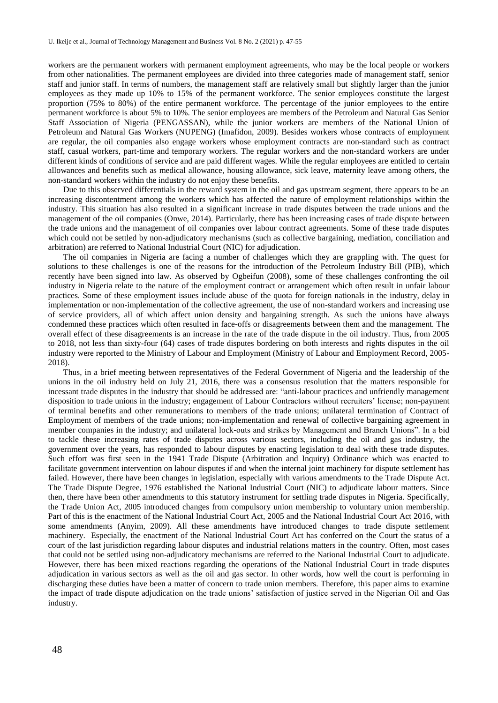workers are the permanent workers with permanent employment agreements, who may be the local people or workers from other nationalities. The permanent employees are divided into three categories made of management staff, senior staff and junior staff. In terms of numbers, the management staff are relatively small but slightly larger than the junior employees as they made up 10% to 15% of the permanent workforce. The senior employees constitute the largest proportion (75% to 80%) of the entire permanent workforce. The percentage of the junior employees to the entire permanent workforce is about 5% to 10%. The senior employees are members of the Petroleum and Natural Gas Senior Staff Association of Nigeria (PENGASSAN), while the junior workers are members of the National Union of Petroleum and Natural Gas Workers (NUPENG) (Imafidon, 2009). Besides workers whose contracts of employment are regular, the oil companies also engage workers whose employment contracts are non-standard such as contract staff, casual workers, part-time and temporary workers. The regular workers and the non-standard workers are under different kinds of conditions of service and are paid different wages. While the regular employees are entitled to certain allowances and benefits such as medical allowance, housing allowance, sick leave, maternity leave among others, the non-standard workers within the industry do not enjoy these benefits.

Due to this observed differentials in the reward system in the oil and gas upstream segment, there appears to be an increasing discontentment among the workers which has affected the nature of employment relationships within the industry. This situation has also resulted in a significant increase in trade disputes between the trade unions and the management of the oil companies (Onwe, 2014). Particularly, there has been increasing cases of trade dispute between the trade unions and the management of oil companies over labour contract agreements. Some of these trade disputes which could not be settled by non-adjudicatory mechanisms (such as collective bargaining, mediation, conciliation and arbitration) are referred to National Industrial Court (NIC) for adjudication.

The oil companies in Nigeria are facing a number of challenges which they are grappling with. The quest for solutions to these challenges is one of the reasons for the introduction of the Petroleum Industry Bill (PIB), which recently have been signed into law. As observed by Ogbeifun (2008), some of these challenges confronting the oil industry in Nigeria relate to the nature of the employment contract or arrangement which often result in unfair labour practices. Some of these employment issues include abuse of the quota for foreign nationals in the industry, delay in implementation or non-implementation of the collective agreement, the use of non-standard workers and increasing use of service providers, all of which affect union density and bargaining strength. As such the unions have always condemned these practices which often resulted in face-offs or disagreements between them and the management. The overall effect of these disagreements is an increase in the rate of the trade dispute in the oil industry. Thus, from 2005 to 2018, not less than sixty-four (64) cases of trade disputes bordering on both interests and rights disputes in the oil industry were reported to the Ministry of Labour and Employment (Ministry of Labour and Employment Record, 2005- 2018).

Thus, in a brief meeting between representatives of the Federal Government of Nigeria and the leadership of the unions in the oil industry held on July 21, 2016, there was a consensus resolution that the matters responsible for incessant trade disputes in the industry that should be addressed are: "anti-labour practices and unfriendly management disposition to trade unions in the industry; engagement of Labour Contractors without recruiters' license; non-payment of terminal benefits and other remunerations to members of the trade unions; unilateral termination of Contract of Employment of members of the trade unions; non-implementation and renewal of collective bargaining agreement in member companies in the industry; and unilateral lock-outs and strikes by Management and Branch Unions". In a bid to tackle these increasing rates of trade disputes across various sectors, including the oil and gas industry, the government over the years, has responded to labour disputes by enacting legislation to deal with these trade disputes. Such effort was first seen in the 1941 Trade Dispute (Arbitration and Inquiry) Ordinance which was enacted to facilitate government intervention on labour disputes if and when the internal joint machinery for dispute settlement has failed. However, there have been changes in legislation, especially with various amendments to the Trade Dispute Act. The Trade Dispute Degree, 1976 established the National Industrial Court (NIC) to adjudicate labour matters. Since then, there have been other amendments to this statutory instrument for settling trade disputes in Nigeria. Specifically, the Trade Union Act, 2005 introduced changes from compulsory union membership to voluntary union membership. Part of this is the enactment of the National Industrial Court Act, 2005 and the National Industrial Court Act 2016, with some amendments (Anyim, 2009). All these amendments have introduced changes to trade dispute settlement machinery. Especially, the enactment of the National Industrial Court Act has conferred on the Court the status of a court of the last jurisdiction regarding labour disputes and industrial relations matters in the country. Often, most cases that could not be settled using non-adjudicatory mechanisms are referred to the National Industrial Court to adjudicate. However, there has been mixed reactions regarding the operations of the National Industrial Court in trade disputes adjudication in various sectors as well as the oil and gas sector. In other words, how well the court is performing in discharging these duties have been a matter of concern to trade union members. Therefore, this paper aims to examine the impact of trade dispute adjudication on the trade unions' satisfaction of justice served in the Nigerian Oil and Gas industry.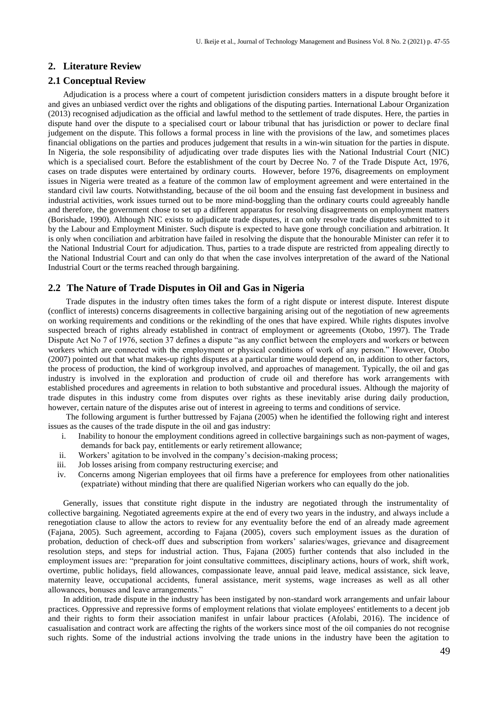### **2. Literature Review**

#### **2.1 Conceptual Review**

Adjudication is a process where a court of competent jurisdiction considers matters in a dispute brought before it and gives an unbiased verdict over the rights and obligations of the disputing parties. International Labour Organization (2013) recognised adjudication as the official and lawful method to the settlement of trade disputes. Here, the parties in dispute hand over the dispute to a specialised court or labour tribunal that has jurisdiction or power to declare final judgement on the dispute. This follows a formal process in line with the provisions of the law, and sometimes places financial obligations on the parties and produces judgement that results in a win-win situation for the parties in dispute. In Nigeria, the sole responsibility of adjudicating over trade disputes lies with the National Industrial Court (NIC) which is a specialised court. Before the establishment of the court by Decree No. 7 of the Trade Dispute Act, 1976, cases on trade disputes were entertained by ordinary courts. However, before 1976, disagreements on employment issues in Nigeria were treated as a feature of the common law of employment agreement and were entertained in the standard civil law courts. Notwithstanding, because of the oil boom and the ensuing fast development in business and industrial activities, work issues turned out to be more mind-boggling than the ordinary courts could agreeably handle and therefore, the government chose to set up a different apparatus for resolving disagreements on employment matters (Borishade, 1990). Although NIC exists to adjudicate trade disputes, it can only resolve trade disputes submitted to it by the Labour and Employment Minister. Such dispute is expected to have gone through conciliation and arbitration. It is only when conciliation and arbitration have failed in resolving the dispute that the honourable Minister can refer it to the National Industrial Court for adjudication. Thus, parties to a trade dispute are restricted from appealing directly to the National Industrial Court and can only do that when the case involves interpretation of the award of the National Industrial Court or the terms reached through bargaining.

# **2.2 The Nature of Trade Disputes in Oil and Gas in Nigeria**

Trade disputes in the industry often times takes the form of a right dispute or interest dispute. Interest dispute (conflict of interests) concerns disagreements in collective bargaining arising out of the negotiation of new agreements on working requirements and conditions or the rekindling of the ones that have expired. While rights disputes involve suspected breach of rights already established in contract of employment or agreements (Otobo, 1997). The Trade Dispute Act No 7 of 1976, section 37 defines a dispute "as any conflict between the employers and workers or between workers which are connected with the employment or physical conditions of work of any person." However, Otobo (2007) pointed out that what makes-up rights disputes at a particular time would depend on, in addition to other factors, the process of production, the kind of workgroup involved, and approaches of management. Typically, the oil and gas industry is involved in the exploration and production of crude oil and therefore has work arrangements with established procedures and agreements in relation to both substantive and procedural issues. Although the majority of trade disputes in this industry come from disputes over rights as these inevitably arise during daily production, however, certain nature of the disputes arise out of interest in agreeing to terms and conditions of service.

The following argument is further buttressed by Fajana (2005) when he identified the following right and interest issues as the causes of the trade dispute in the oil and gas industry:

- i. Inability to honour the employment conditions agreed in collective bargainings such as non-payment of wages, demands for back pay, entitlements or early retirement allowance;
- ii. Workers' agitation to be involved in the company's decision-making process;
- iii. Job losses arising from company restructuring exercise; and
- iv. Concerns among Nigerian employees that oil firms have a preference for employees from other nationalities (expatriate) without minding that there are qualified Nigerian workers who can equally do the job.

Generally, issues that constitute right dispute in the industry are negotiated through the instrumentality of collective bargaining. Negotiated agreements expire at the end of every two years in the industry, and always include a renegotiation clause to allow the actors to review for any eventuality before the end of an already made agreement (Fajana, 2005). Such agreement, according to Fajana (2005), covers such employment issues as the duration of probation, deduction of check-off dues and subscription from workers' salaries/wages, grievance and disagreement resolution steps, and steps for industrial action. Thus, Fajana (2005) further contends that also included in the employment issues are: "preparation for joint consultative committees, disciplinary actions, hours of work, shift work, overtime, public holidays, field allowances, compassionate leave, annual paid leave, medical assistance, sick leave, maternity leave, occupational accidents, funeral assistance, merit systems, wage increases as well as all other allowances, bonuses and leave arrangements."

In addition, trade dispute in the industry has been instigated by non-standard work arrangements and unfair labour practices. Oppressive and repressive forms of employment relations that violate employees' entitlements to a decent job and their rights to form their association manifest in unfair labour practices (Afolabi, 2016). The incidence of casualisation and contract work are affecting the rights of the workers since most of the oil companies do not recognise such rights. Some of the industrial actions involving the trade unions in the industry have been the agitation to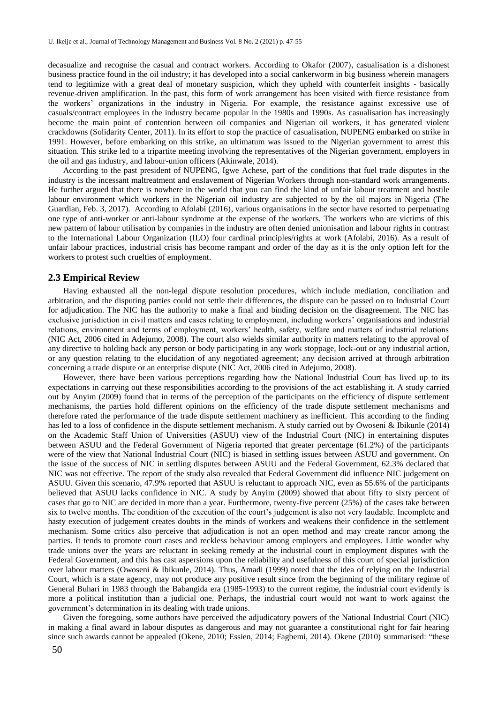decasualize and recognise the casual and contract workers. According to Okafor (2007), casualisation is a dishonest business practice found in the oil industry; it has developed into a social cankerworm in big business wherein managers tend to legitimize with a great deal of monetary suspicion, which they upheld with counterfeit insights - basically revenue-driven amplification. In the past, this form of work arrangement has been visited with fierce resistance from the workers' organizations in the industry in Nigeria. For example, the resistance against excessive use of casuals/contract employees in the industry became popular in the 1980s and 1990s. As casualisation has increasingly become the main point of contention between oil companies and Nigerian oil workers, it has generated violent crackdowns (Solidarity Center, 2011). In its effort to stop the practice of casualisation, NUPENG embarked on strike in 1991. However, before embarking on this strike, an ultimatum was issued to the Nigerian government to arrest this situation. This strike led to a tripartite meeting involving the representatives of the Nigerian government, employers in the oil and gas industry, and labour-union officers (Akinwale, 2014).

According to the past president of NUPENG, Igwe Achese, part of the conditions that fuel trade disputes in the industry is the incessant maltreatment and enslavement of Nigerian Workers through non-standard work arrangements. He further argued that there is nowhere in the world that you can find the kind of unfair labour treatment and hostile labour environment which workers in the Nigerian oil industry are subjected to by the oil majors in Nigeria (The Guardian, Feb. 3, 2017). According to Afolabi (2016), various organisations in the sector have resorted to perpetuating one type of anti-worker or anti-labour syndrome at the expense of the workers. The workers who are victims of this new pattern of labour utilisation by companies in the industry are often denied unionisation and labour rights in contrast to the International Labour Organization (ILO) four cardinal principles/rights at work (Afolabi, 2016). As a result of unfair labour practices, industrial crisis has become rampant and order of the day as it is the only option left for the workers to protest such cruelties of employment.

#### **2.3 Empirical Review**

Having exhausted all the non-legal dispute resolution procedures, which include mediation, conciliation and arbitration, and the disputing parties could not settle their differences, the dispute can be passed on to Industrial Court for adjudication. The NIC has the authority to make a final and binding decision on the disagreement. The NIC has exclusive jurisdiction in civil matters and cases relating to employment, including workers' organisations and industrial relations, environment and terms of employment, workers' health, safety, welfare and matters of industrial relations (NIC Act, 2006 cited in Adejumo, 2008). The court also wields similar authority in matters relating to the approval of any directive to holding back any person or body participating in any work stoppage, lock-out or any industrial action, or any question relating to the elucidation of any negotiated agreement; any decision arrived at through arbitration concerning a trade dispute or an enterprise dispute (NIC Act, 2006 cited in Adejumo, 2008).

However, there have been various perceptions regarding how the National Industrial Court has lived up to its expectations in carrying out these responsibilities according to the provisions of the act establishing it. A study carried out by Anyim (2009) found that in terms of the perception of the participants on the efficiency of dispute settlement mechanisms, the parties hold different opinions on the efficiency of the trade dispute settlement mechanisms and therefore rated the performance of the trade dispute settlement machinery as inefficient. This according to the finding has led to a loss of confidence in the dispute settlement mechanism. A study carried out by Owoseni & Ibikunle (2014) on the Academic Staff Union of Universities (ASUU) view of the Industrial Court (NIC) in entertaining disputes between ASUU and the Federal Government of Nigeria reported that greater percentage (61.2%) of the participants were of the view that National Industrial Court (NIC) is biased in settling issues between ASUU and government. On the issue of the success of NIC in settling disputes between ASUU and the Federal Government, 62.3% declared that NIC was not effective. The report of the study also revealed that Federal Government did influence NIC judgement on ASUU. Given this scenario, 47.9% reported that ASUU is reluctant to approach NIC, even as 55.6% of the participants believed that ASUU lacks confidence in NIC. A study by Anyim (2009) showed that about fifty to sixty percent of cases that go to NIC are decided in more than a year. Furthermore, twenty-five percent (25%) of the cases take between six to twelve months. The condition of the execution of the court's judgement is also not very laudable. Incomplete and hasty execution of judgement creates doubts in the minds of workers and weakens their confidence in the settlement mechanism. Some critics also perceive that adjudication is not an open method and may create rancor among the parties. It tends to promote court cases and reckless behaviour among employers and employees. Little wonder why trade unions over the years are reluctant in seeking remedy at the industrial court in employment disputes with the Federal Government, and this has cast aspersions upon the reliability and usefulness of this court of special jurisdiction over labour matters (Owoseni & Ibikunle, 2014). Thus, Amadi (1999) noted that the idea of relying on the Industrial Court, which is a state agency, may not produce any positive result since from the beginning of the military regime of General Buhari in 1983 through the Babangida era (1985-1993) to the current regime, the industrial court evidently is more a political institution than a judicial one. Perhaps, the industrial court would not want to work against the government's determination in its dealing with trade unions.

Given the foregoing, some authors have perceived the adjudicatory powers of the National Industrial Court (NIC) in making a final award in labour disputes as dangerous and may not guarantee a constitutional right for fair hearing since such awards cannot be appealed (Okene, 2010; Essien, 2014; Fagbemi, 2014). Okene (2010) summarised: "these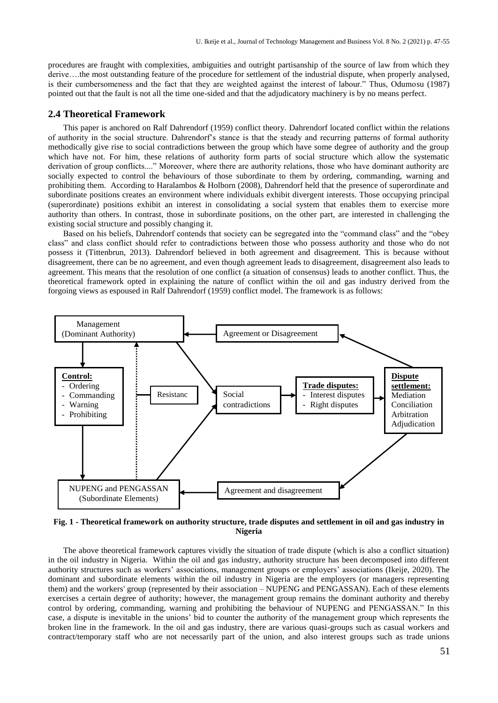procedures are fraught with complexities, ambiguities and outright partisanship of the source of law from which they derive….the most outstanding feature of the procedure for settlement of the industrial dispute, when properly analysed, is their cumbersomeness and the fact that they are weighted against the interest of labour." Thus, Odumosu (1987) pointed out that the fault is not all the time one-sided and that the adjudicatory machinery is by no means perfect.

#### **2.4 Theoretical Framework**

This paper is anchored on Ralf Dahrendorf (1959) conflict theory. Dahrendorf located conflict within the relations of authority in the social structure. Dahrendorf's stance is that the steady and recurring patterns of formal authority methodically give rise to social contradictions between the group which have some degree of authority and the group which have not. For him, these relations of authority form parts of social structure which allow the systematic derivation of group conflicts...." Moreover, where there are authority relations, those who have dominant authority are socially expected to control the behaviours of those subordinate to them by ordering, commanding, warning and prohibiting them. According to Haralambos & Holborn (2008), Dahrendorf held that the presence of superordinate and subordinate positions creates an environment where individuals exhibit divergent interests. Those occupying principal (superordinate) positions exhibit an interest in consolidating a social system that enables them to exercise more authority than others. In contrast, those in subordinate positions, on the other part, are interested in challenging the existing social structure and possibly changing it.

Based on his beliefs, Dahrendorf contends that society can be segregated into the "command class" and the "obey class" and class conflict should refer to contradictions between those who possess authority and those who do not possess it (Tittenbrun, 2013). Dahrendorf believed in both agreement and disagreement. This is because without disagreement, there can be no agreement, and even though agreement leads to disagreement, disagreement also leads to agreement. This means that the resolution of one conflict (a situation of consensus) leads to another conflict. Thus, the theoretical framework opted in explaining the nature of conflict within the oil and gas industry derived from the forgoing views as espoused in Ralf Dahrendorf (1959) conflict model. The framework is as follows:



**Fig. 1 - Theoretical framework on authority structure, trade disputes and settlement in oil and gas industry in Nigeria**

The above theoretical framework captures vividly the situation of trade dispute (which is also a conflict situation) in the oil industry in Nigeria. Within the oil and gas industry, authority structure has been decomposed into different authority structures such as workers' associations, management groups or employers' associations (Ikeije, 2020). The dominant and subordinate elements within the oil industry in Nigeria are the employers (or managers representing them) and the workers' group (represented by their association – NUPENG and PENGASSAN). Each of these elements exercises a certain degree of authority; however, the management group remains the dominant authority and thereby control by ordering, commanding, warning and prohibiting the behaviour of NUPENG and PENGASSAN." In this case, a dispute is inevitable in the unions' bid to counter the authority of the management group which represents the broken line in the framework. In the oil and gas industry, there are various quasi-groups such as casual workers and contract/temporary staff who are not necessarily part of the union, and also interest groups such as trade unions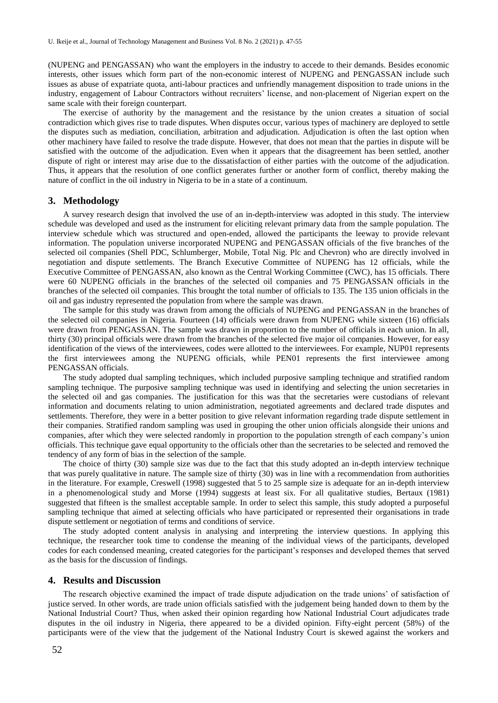(NUPENG and PENGASSAN) who want the employers in the industry to accede to their demands. Besides economic interests, other issues which form part of the non-economic interest of NUPENG and PENGASSAN include such issues as abuse of expatriate quota, anti-labour practices and unfriendly management disposition to trade unions in the industry, engagement of Labour Contractors without recruiters' license, and non-placement of Nigerian expert on the same scale with their foreign counterpart.

The exercise of authority by the management and the resistance by the union creates a situation of social contradiction which gives rise to trade disputes. When disputes occur, various types of machinery are deployed to settle the disputes such as mediation, conciliation, arbitration and adjudication. Adjudication is often the last option when other machinery have failed to resolve the trade dispute. However, that does not mean that the parties in dispute will be satisfied with the outcome of the adjudication. Even when it appears that the disagreement has been settled, another dispute of right or interest may arise due to the dissatisfaction of either parties with the outcome of the adjudication. Thus, it appears that the resolution of one conflict generates further or another form of conflict, thereby making the nature of conflict in the oil industry in Nigeria to be in a state of a continuum.

#### **3. Methodology**

A survey research design that involved the use of an in-depth-interview was adopted in this study. The interview schedule was developed and used as the instrument for eliciting relevant primary data from the sample population. The interview schedule which was structured and open-ended, allowed the participants the leeway to provide relevant information. The population universe incorporated NUPENG and PENGASSAN officials of the five branches of the selected oil companies (Shell PDC, Schlumberger, Mobile, Total Nig. Plc and Chevron) who are directly involved in negotiation and dispute settlements. The Branch Executive Committee of NUPENG has 12 officials, while the Executive Committee of PENGASSAN, also known as the Central Working Committee (CWC), has 15 officials. There were 60 NUPENG officials in the branches of the selected oil companies and 75 PENGASSAN officials in the branches of the selected oil companies. This brought the total number of officials to 135. The 135 union officials in the oil and gas industry represented the population from where the sample was drawn.

The sample for this study was drawn from among the officials of NUPENG and PENGASSAN in the branches of the selected oil companies in Nigeria. Fourteen (14) officials were drawn from NUPENG while sixteen (16) officials were drawn from PENGASSAN. The sample was drawn in proportion to the number of officials in each union. In all, thirty (30) principal officials were drawn from the branches of the selected five major oil companies. However, for easy identification of the views of the interviewees, codes were allotted to the interviewees. For example, NUP01 represents the first interviewees among the NUPENG officials, while PEN01 represents the first interviewee among PENGASSAN officials.

The study adopted dual sampling techniques, which included purposive sampling technique and stratified random sampling technique. The purposive sampling technique was used in identifying and selecting the union secretaries in the selected oil and gas companies. The justification for this was that the secretaries were custodians of relevant information and documents relating to union administration, negotiated agreements and declared trade disputes and settlements. Therefore, they were in a better position to give relevant information regarding trade dispute settlement in their companies. Stratified random sampling was used in grouping the other union officials alongside their unions and companies, after which they were selected randomly in proportion to the population strength of each company's union officials. This technique gave equal opportunity to the officials other than the secretaries to be selected and removed the tendency of any form of bias in the selection of the sample.

The choice of thirty (30) sample size was due to the fact that this study adopted an in-depth interview technique that was purely qualitative in nature. The sample size of thirty (30) was in line with a recommendation from authorities in the literature. For example, Creswell (1998) suggested that 5 to 25 sample size is adequate for an in-depth interview in a phenomenological study and Morse (1994) suggests at least six. For all qualitative studies, Bertaux (1981) suggested that fifteen is the smallest acceptable sample. In order to select this sample, this study adopted a purposeful sampling technique that aimed at selecting officials who have participated or represented their organisations in trade dispute settlement or negotiation of terms and conditions of service.

The study adopted content analysis in analysing and interpreting the interview questions. In applying this technique, the researcher took time to condense the meaning of the individual views of the participants, developed codes for each condensed meaning, created categories for the participant's responses and developed themes that served as the basis for the discussion of findings.

#### **4. Results and Discussion**

The research objective examined the impact of trade dispute adjudication on the trade unions' of satisfaction of justice served. In other words, are trade union officials satisfied with the judgement being handed down to them by the National Industrial Court? Thus, when asked their opinion regarding how National Industrial Court adjudicates trade disputes in the oil industry in Nigeria, there appeared to be a divided opinion. Fifty-eight percent (58%) of the participants were of the view that the judgement of the National Industry Court is skewed against the workers and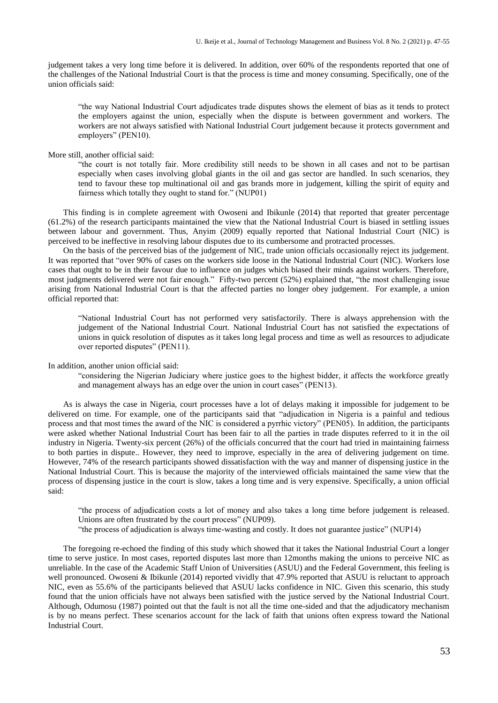judgement takes a very long time before it is delivered. In addition, over 60% of the respondents reported that one of the challenges of the National Industrial Court is that the process is time and money consuming. Specifically, one of the union officials said:

"the way National Industrial Court adjudicates trade disputes shows the element of bias as it tends to protect the employers against the union, especially when the dispute is between government and workers. The workers are not always satisfied with National Industrial Court judgement because it protects government and employers" (PEN10).

More still, another official said:

"the court is not totally fair. More credibility still needs to be shown in all cases and not to be partisan especially when cases involving global giants in the oil and gas sector are handled. In such scenarios, they tend to favour these top multinational oil and gas brands more in judgement, killing the spirit of equity and fairness which totally they ought to stand for." (NUP01)

This finding is in complete agreement with Owoseni and Ibikunle (2014) that reported that greater percentage (61.2%) of the research participants maintained the view that the National Industrial Court is biased in settling issues between labour and government. Thus, Anyim (2009) equally reported that National Industrial Court (NIC) is perceived to be ineffective in resolving labour disputes due to its cumbersome and protracted processes.

On the basis of the perceived bias of the judgement of NIC, trade union officials occasionally reject its judgement. It was reported that "over 90% of cases on the workers side loose in the National Industrial Court (NIC). Workers lose cases that ought to be in their favour due to influence on judges which biased their minds against workers. Therefore, most judgments delivered were not fair enough." Fifty-two percent (52%) explained that, "the most challenging issue arising from National Industrial Court is that the affected parties no longer obey judgement. For example, a union official reported that:

"National Industrial Court has not performed very satisfactorily. There is always apprehension with the judgement of the National Industrial Court. National Industrial Court has not satisfied the expectations of unions in quick resolution of disputes as it takes long legal process and time as well as resources to adjudicate over reported disputes" (PEN11).

In addition, another union official said:

"considering the Nigerian Judiciary where justice goes to the highest bidder, it affects the workforce greatly and management always has an edge over the union in court cases" (PEN13).

As is always the case in Nigeria, court processes have a lot of delays making it impossible for judgement to be delivered on time. For example, one of the participants said that "adjudication in Nigeria is a painful and tedious process and that most times the award of the NIC is considered a pyrrhic victory" (PEN05). In addition, the participants were asked whether National Industrial Court has been fair to all the parties in trade disputes referred to it in the oil industry in Nigeria. Twenty-six percent (26%) of the officials concurred that the court had tried in maintaining fairness to both parties in dispute.. However, they need to improve, especially in the area of delivering judgement on time. However, 74% of the research participants showed dissatisfaction with the way and manner of dispensing justice in the National Industrial Court. This is because the majority of the interviewed officials maintained the same view that the process of dispensing justice in the court is slow, takes a long time and is very expensive. Specifically, a union official said:

"the process of adjudication costs a lot of money and also takes a long time before judgement is released. Unions are often frustrated by the court process" (NUP09).

"the process of adjudication is always time-wasting and costly. It does not guarantee justice" (NUP14)

The foregoing re-echoed the finding of this study which showed that it takes the National Industrial Court a longer time to serve justice. In most cases, reported disputes last more than 12months making the unions to perceive NIC as unreliable. In the case of the Academic Staff Union of Universities (ASUU) and the Federal Government, this feeling is well pronounced. Owoseni & Ibikunle (2014) reported vividly that 47.9% reported that ASUU is reluctant to approach NIC, even as 55.6% of the participants believed that ASUU lacks confidence in NIC. Given this scenario, this study found that the union officials have not always been satisfied with the justice served by the National Industrial Court. Although, Odumosu (1987) pointed out that the fault is not all the time one-sided and that the adjudicatory mechanism is by no means perfect. These scenarios account for the lack of faith that unions often express toward the National Industrial Court.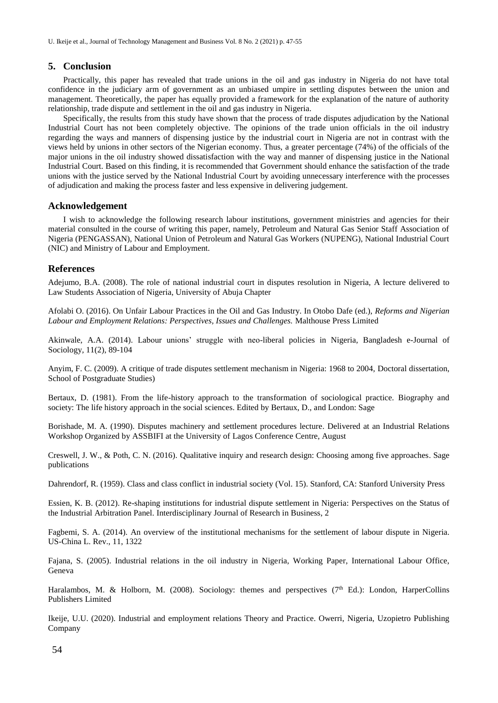U. Ikeije et al., Journal of Technology Management and Business Vol. 8 No. 2 (2021) p. 47-55

# **5. Conclusion**

Practically, this paper has revealed that trade unions in the oil and gas industry in Nigeria do not have total confidence in the judiciary arm of government as an unbiased umpire in settling disputes between the union and management. Theoretically, the paper has equally provided a framework for the explanation of the nature of authority relationship, trade dispute and settlement in the oil and gas industry in Nigeria.

Specifically, the results from this study have shown that the process of trade disputes adjudication by the National Industrial Court has not been completely objective. The opinions of the trade union officials in the oil industry regarding the ways and manners of dispensing justice by the industrial court in Nigeria are not in contrast with the views held by unions in other sectors of the Nigerian economy. Thus, a greater percentage (74%) of the officials of the major unions in the oil industry showed dissatisfaction with the way and manner of dispensing justice in the National Industrial Court. Based on this finding, it is recommended that Government should enhance the satisfaction of the trade unions with the justice served by the National Industrial Court by avoiding unnecessary interference with the processes of adjudication and making the process faster and less expensive in delivering judgement.

# **Acknowledgement**

I wish to acknowledge the following research labour institutions, government ministries and agencies for their material consulted in the course of writing this paper, namely, Petroleum and Natural Gas Senior Staff Association of Nigeria (PENGASSAN), National Union of Petroleum and Natural Gas Workers (NUPENG), National Industrial Court (NIC) and Ministry of Labour and Employment.

# **References**

Adejumo, B.A. (2008). The role of national industrial court in disputes resolution in Nigeria, A lecture delivered to Law Students Association of Nigeria, University of Abuja Chapter

Afolabi O. (2016). On Unfair Labour Practices in the Oil and Gas Industry. In Otobo Dafe (ed.), *Reforms and Nigerian Labour and Employment Relations: Perspectives, Issues and Challenges.* Malthouse Press Limited

Akinwale, A.A. (2014). Labour unions' struggle with neo-liberal policies in Nigeria, Bangladesh e-Journal of Sociology*,* 11(2), 89-104

Anyim, F. C. (2009). A critique of trade disputes settlement mechanism in Nigeria: 1968 to 2004, Doctoral dissertation, School of Postgraduate Studies)

Bertaux, D. (1981). From the life-history approach to the transformation of sociological practice. Biography and society: The life history approach in the social sciences. Edited by Bertaux, D., and London: Sage

Borishade, M. A. (1990). Disputes machinery and settlement procedures lecture. Delivered at an Industrial Relations Workshop Organized by ASSBIFI at the University of Lagos Conference Centre, August

Creswell, J. W., & Poth, C. N. (2016). Qualitative inquiry and research design: Choosing among five approaches. Sage publications

Dahrendorf, R. (1959). Class and class conflict in industrial society (Vol. 15). Stanford, CA: Stanford University Press

Essien, K. B. (2012). Re-shaping institutions for industrial dispute settlement in Nigeria: Perspectives on the Status of the Industrial Arbitration Panel. Interdisciplinary Journal of Research in Business, 2

Fagbemi, S. A. (2014). An overview of the institutional mechanisms for the settlement of labour dispute in Nigeria. US-China L. Rev., 11, 1322

Fajana, S. (2005). Industrial relations in the oil industry in Nigeria, Working Paper, International Labour Office, Geneva

Haralambos, M. & Holborn, M. (2008). Sociology: themes and perspectives  $(7<sup>th</sup> Ed.)$ : London, HarperCollins Publishers Limited

Ikeije, U.U. (2020). Industrial and employment relations Theory and Practice. Owerri, Nigeria, Uzopietro Publishing Company